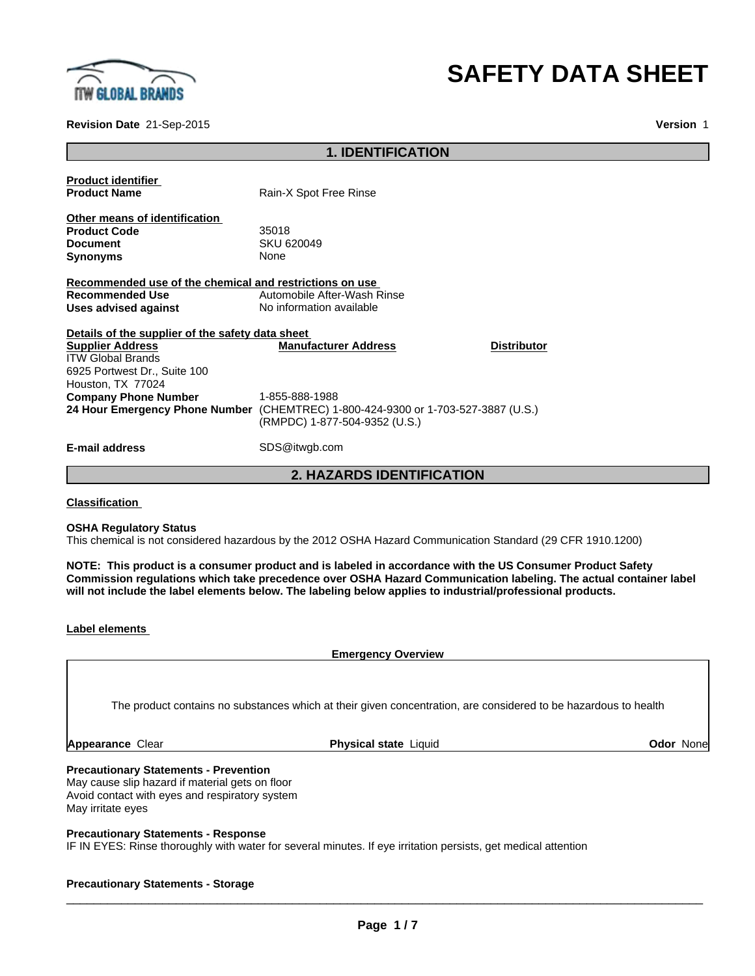

# **SAFETY DATA SHEET**

**Version** 1

**Revision Date** 21-Sep-2015

### **1. IDENTIFICATION**

|                                                                             | <b>2. HAZARDS IDENTIFICATION</b>                                                    |
|-----------------------------------------------------------------------------|-------------------------------------------------------------------------------------|
| <b>E-mail address</b>                                                       | SDS@itwgb.com                                                                       |
| 24 Hour Emergency Phone Number                                              | (CHEMTREC) 1-800-424-9300 or 1-703-527-3887 (U.S.)<br>(RMPDC) 1-877-504-9352 (U.S.) |
| <b>Company Phone Number</b>                                                 | 1-855-888-1988                                                                      |
| Houston, TX 77024                                                           |                                                                                     |
| 6925 Portwest Dr., Suite 100                                                |                                                                                     |
| <b>ITW Global Brands</b>                                                    |                                                                                     |
| Details of the supplier of the safety data sheet<br><b>Supplier Address</b> | <b>Manufacturer Address</b><br><b>Distributor</b>                                   |
| Uses advised against                                                        | No information available                                                            |
| <b>Recommended Use</b>                                                      | Automobile After-Wash Rinse                                                         |
| Recommended use of the chemical and restrictions on use                     |                                                                                     |
| <b>Synonyms</b>                                                             | None                                                                                |
| <b>Document</b>                                                             | <b>SKU 620049</b>                                                                   |
| <b>Product Code</b>                                                         | 35018                                                                               |
| Other means of identification                                               |                                                                                     |
| <b>Product Name</b>                                                         | Rain-X Spot Free Rinse                                                              |
| <b>Product identifier</b>                                                   |                                                                                     |
|                                                                             |                                                                                     |

**Classification** 

#### **OSHA Regulatory Status**

This chemical is not considered hazardous by the 2012 OSHA Hazard Communication Standard (29 CFR 1910.1200)

**NOTE: This product is a consumer product and is labeled in accordance with the US Consumer Product Safety Commission regulations which take precedence over OSHA Hazard Communication labeling. The actual container label will not include the label elements below. The labeling below applies to industrial/professional products.**

| Label elements |
|----------------|
|----------------|

**Emergency Overview**

The product contains no substances which at their given concentration, are considered to be hazardous to health

**Appearance** Clear **Physical state** Liquid **Odor** None

### **Precautionary Statements - Prevention**

May cause slip hazard if material gets on floor Avoid contact with eyes and respiratory system May irritate eyes

### **Precautionary Statements - Response**

IF IN EYES: Rinse thoroughly with water for several minutes. If eye irritation persists, get medical attention

### **Precautionary Statements - Storage**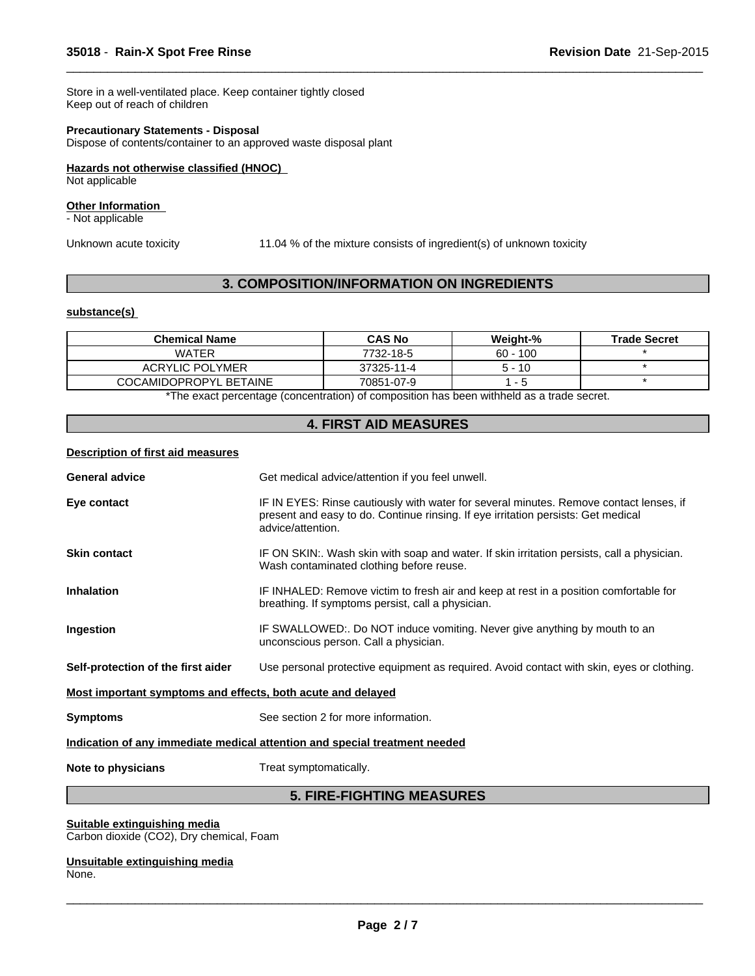Store in a well-ventilated place. Keep container tightly closed Keep out of reach of children

### **Precautionary Statements - Disposal**

Dispose of contents/container to an approved waste disposal plant

#### **Hazards not otherwise classified (HNOC)**

Not applicable

### **Other Information**

- Not applicable

Unknown acute toxicity 11.04 % of the mixture consists of ingredient(s) of unknown toxicity

 $\overline{\phantom{a}}$  ,  $\overline{\phantom{a}}$  ,  $\overline{\phantom{a}}$  ,  $\overline{\phantom{a}}$  ,  $\overline{\phantom{a}}$  ,  $\overline{\phantom{a}}$  ,  $\overline{\phantom{a}}$  ,  $\overline{\phantom{a}}$  ,  $\overline{\phantom{a}}$  ,  $\overline{\phantom{a}}$  ,  $\overline{\phantom{a}}$  ,  $\overline{\phantom{a}}$  ,  $\overline{\phantom{a}}$  ,  $\overline{\phantom{a}}$  ,  $\overline{\phantom{a}}$  ,  $\overline{\phantom{a}}$ 

### **3. COMPOSITION/INFORMATION ON INGREDIENTS**

### **substance(s)**

| <b>Chemical Name</b>   | <b>CAS No</b> | Weight-%   | <b>Trade Secret</b> |
|------------------------|---------------|------------|---------------------|
| <b>WATER</b>           | 7732-18-5     | $60 - 100$ |                     |
| <b>ACRYLIC POLYMER</b> | 37325-11-4    | $5 - 10$   |                     |
| COCAMIDOPROPYL BETAINE | 70851-07-9    | $ -$       |                     |

\*The exact percentage (concentration) of composition has been withheld as a trade secret.

### **4. FIRST AID MEASURES**

#### **Description of first aid measures**

| <b>General advice</b>                                                      | Get medical advice/attention if you feel unwell.                                                                                                                                                 |  |
|----------------------------------------------------------------------------|--------------------------------------------------------------------------------------------------------------------------------------------------------------------------------------------------|--|
| Eye contact                                                                | IF IN EYES: Rinse cautiously with water for several minutes. Remove contact lenses, if<br>present and easy to do. Continue rinsing. If eye irritation persists: Get medical<br>advice/attention. |  |
| <b>Skin contact</b>                                                        | IF ON SKIN:. Wash skin with soap and water. If skin irritation persists, call a physician.<br>Wash contaminated clothing before reuse.                                                           |  |
| <b>Inhalation</b>                                                          | IF INHALED: Remove victim to fresh air and keep at rest in a position comfortable for<br>breathing. If symptoms persist, call a physician.                                                       |  |
| Ingestion                                                                  | IF SWALLOWED:. Do NOT induce vomiting. Never give anything by mouth to an<br>unconscious person. Call a physician.                                                                               |  |
| Self-protection of the first aider                                         | Use personal protective equipment as required. Avoid contact with skin, eyes or clothing.                                                                                                        |  |
| Most important symptoms and effects, both acute and delayed                |                                                                                                                                                                                                  |  |
| <b>Symptoms</b>                                                            | See section 2 for more information.                                                                                                                                                              |  |
| Indication of any immediate medical attention and special treatment needed |                                                                                                                                                                                                  |  |
| Note to physicians                                                         | Treat symptomatically.                                                                                                                                                                           |  |

### **5. FIRE-FIGHTING MEASURES**

#### **Suitable extinguishing media**

Carbon dioxide (CO2), Dry chemical, Foam

#### **Unsuitable extinguishing media** None.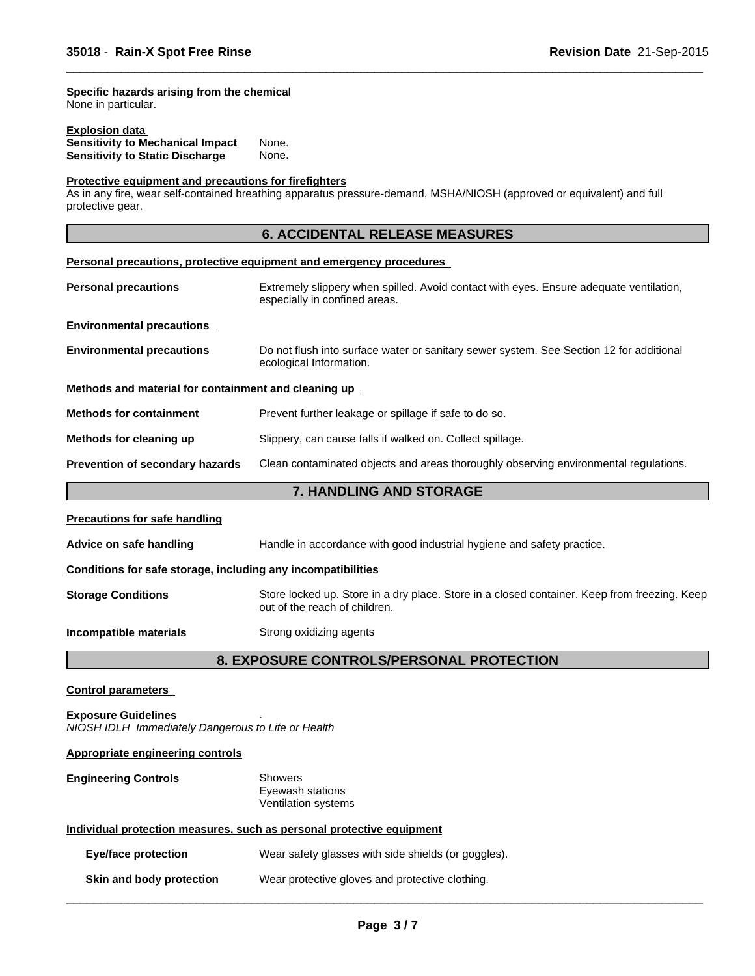#### **Specific hazards arising from the chemical**

None in particular.

| <b>Explosion data</b>                   |       |  |
|-----------------------------------------|-------|--|
| <b>Sensitivity to Mechanical Impact</b> | None. |  |
| <b>Sensitivity to Static Discharge</b>  | None. |  |

### **Protective equipment and precautions for firefighters**

As in any fire, wear self-contained breathing apparatus pressure-demand, MSHA/NIOSH (approved or equivalent) and full protective gear.

### **6. ACCIDENTAL RELEASE MEASURES**

 $\overline{\phantom{a}}$  ,  $\overline{\phantom{a}}$  ,  $\overline{\phantom{a}}$  ,  $\overline{\phantom{a}}$  ,  $\overline{\phantom{a}}$  ,  $\overline{\phantom{a}}$  ,  $\overline{\phantom{a}}$  ,  $\overline{\phantom{a}}$  ,  $\overline{\phantom{a}}$  ,  $\overline{\phantom{a}}$  ,  $\overline{\phantom{a}}$  ,  $\overline{\phantom{a}}$  ,  $\overline{\phantom{a}}$  ,  $\overline{\phantom{a}}$  ,  $\overline{\phantom{a}}$  ,  $\overline{\phantom{a}}$ 

#### **Personal precautions, protective equipment and emergency procedures**

| <b>Personal precautions</b>                          | Extremely slippery when spilled. Avoid contact with eyes. Ensure adequate ventilation,<br>especially in confined areas. |
|------------------------------------------------------|-------------------------------------------------------------------------------------------------------------------------|
| <b>Environmental precautions</b>                     |                                                                                                                         |
| <b>Environmental precautions</b>                     | Do not flush into surface water or sanitary sewer system. See Section 12 for additional<br>ecological Information.      |
| Methods and material for containment and cleaning up |                                                                                                                         |
| <b>Methods for containment</b>                       | Prevent further leakage or spillage if safe to do so.                                                                   |
| Methods for cleaning up                              | Slippery, can cause falls if walked on. Collect spillage.                                                               |
| <b>Prevention of secondary hazards</b>               | Clean contaminated objects and areas thoroughly observing environmental regulations.                                    |

### **7. HANDLING AND STORAGE**

#### **Precautions for safe handling**

**Advice on safe handling** Handle in accordance with good industrial hygiene and safety practice.

### **Conditions for safe storage, including any incompatibilities**

**Storage Conditions** Store locked up. Store in a dry place. Store in a closed container. Keep from freezing. Keep out of the reach of children.

#### **Incompatible materials** Strong oxidizing agents

### **8. EXPOSURE CONTROLS/PERSONAL PROTECTION**

### **Control parameters**

**Exposure Guidelines** . *NIOSH IDLH Immediately Dangerous to Life or Health*

### **Appropriate engineering controls**

#### **Engineering Controls** Showers Eyewash stations Ventilation systems

## **Individual protection measures, such as personal protective equipment**

**Eye/face protection** Wear safety glasses with side shields (or goggles).

### **Skin and body protection** Wear protective gloves and protective clothing.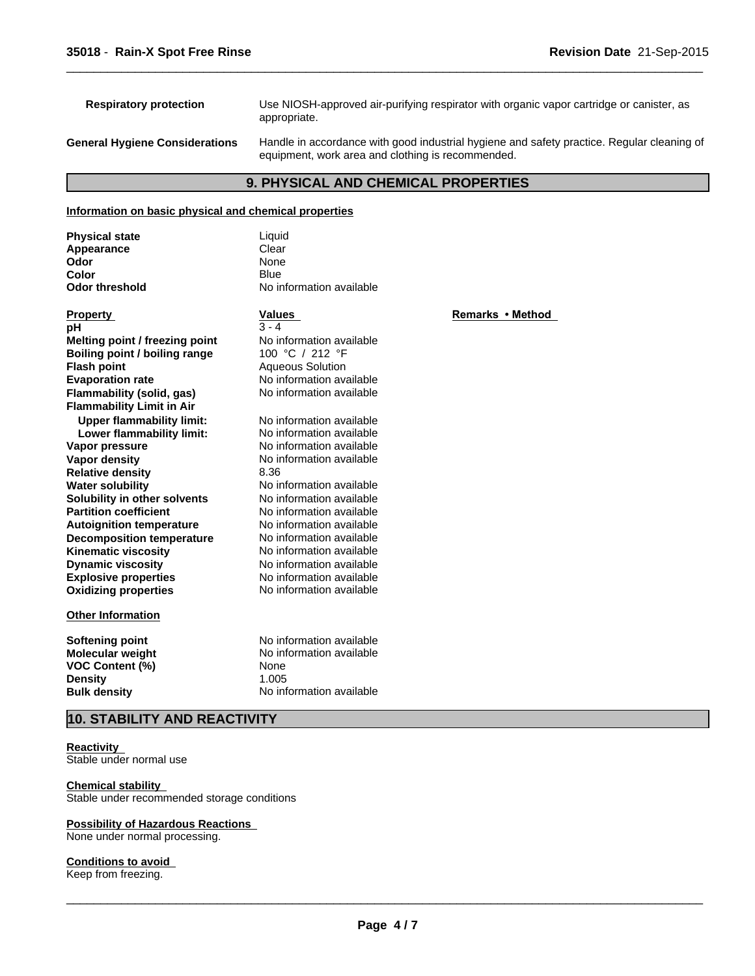| <b>Respiratory protection</b>         | Use NIOSH-approved air-purifying respirator with organic vapor cartridge or canister, as<br>appropriate.                                        |
|---------------------------------------|-------------------------------------------------------------------------------------------------------------------------------------------------|
| <b>General Hygiene Considerations</b> | Handle in accordance with good industrial hygiene and safety practice. Regular cleaning of<br>equipment, work area and clothing is recommended. |

 $\overline{\phantom{a}}$  ,  $\overline{\phantom{a}}$  ,  $\overline{\phantom{a}}$  ,  $\overline{\phantom{a}}$  ,  $\overline{\phantom{a}}$  ,  $\overline{\phantom{a}}$  ,  $\overline{\phantom{a}}$  ,  $\overline{\phantom{a}}$  ,  $\overline{\phantom{a}}$  ,  $\overline{\phantom{a}}$  ,  $\overline{\phantom{a}}$  ,  $\overline{\phantom{a}}$  ,  $\overline{\phantom{a}}$  ,  $\overline{\phantom{a}}$  ,  $\overline{\phantom{a}}$  ,  $\overline{\phantom{a}}$ 

### **9. PHYSICAL AND CHEMICAL PROPERTIES**

### **Information on basic physical and chemical properties**

| <b>Physical state</b>            | Liquid                   |                  |
|----------------------------------|--------------------------|------------------|
| Appearance                       | Clear                    |                  |
| Odor                             | None                     |                  |
| Color                            | <b>Blue</b>              |                  |
| <b>Odor threshold</b>            | No information available |                  |
| <b>Property</b>                  | Values                   | Remarks • Method |
| рH                               | $3 - 4$                  |                  |
| Melting point / freezing point   | No information available |                  |
| Boiling point / boiling range    | 100 °C / 212 °F          |                  |
| <b>Flash point</b>               | <b>Aqueous Solution</b>  |                  |
| <b>Evaporation rate</b>          | No information available |                  |
| Flammability (solid, gas)        | No information available |                  |
| <b>Flammability Limit in Air</b> |                          |                  |
| <b>Upper flammability limit:</b> | No information available |                  |
| Lower flammability limit:        | No information available |                  |
| Vapor pressure                   | No information available |                  |
| Vapor density                    | No information available |                  |
| <b>Relative density</b>          | 8.36                     |                  |
| <b>Water solubility</b>          | No information available |                  |
| Solubility in other solvents     | No information available |                  |
| <b>Partition coefficient</b>     | No information available |                  |
| <b>Autoignition temperature</b>  | No information available |                  |
| <b>Decomposition temperature</b> | No information available |                  |
| <b>Kinematic viscosity</b>       | No information available |                  |
| <b>Dynamic viscosity</b>         | No information available |                  |
| <b>Explosive properties</b>      | No information available |                  |
| <b>Oxidizing properties</b>      | No information available |                  |
| <b>Other Information</b>         |                          |                  |
| Softening point                  | No information available |                  |
| Molecular weight                 | No information available |                  |
| <b>VOC Content (%)</b>           | None                     |                  |
| <b>Density</b>                   | 1.005                    |                  |
| <b>Bulk density</b>              | No information available |                  |
|                                  |                          |                  |

### **10. STABILITY AND REACTIVITY**

**Reactivity**  Stable under normal use

**Chemical stability**  Stable under recommended storage conditions

### **Possibility of Hazardous Reactions**

None under normal processing.

### **Conditions to avoid**

Keep from freezing.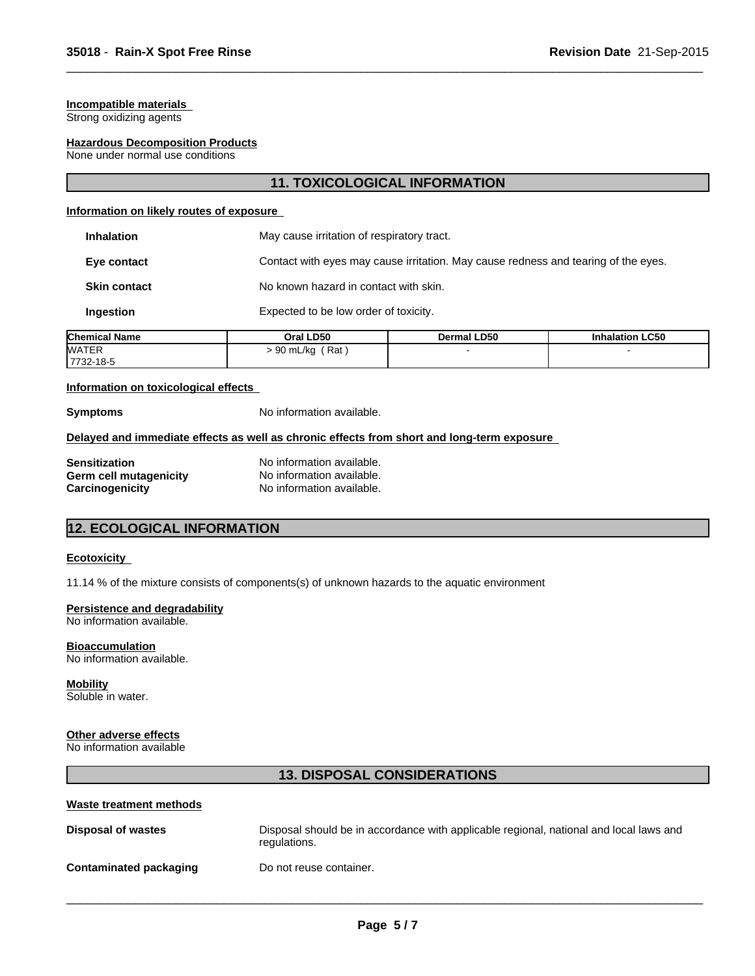### **Incompatible materials**

Strong oxidizing agents

### **Hazardous Decomposition Products**

None under normal use conditions

### **11. TOXICOLOGICAL INFORMATION**

 $\overline{\phantom{a}}$  ,  $\overline{\phantom{a}}$  ,  $\overline{\phantom{a}}$  ,  $\overline{\phantom{a}}$  ,  $\overline{\phantom{a}}$  ,  $\overline{\phantom{a}}$  ,  $\overline{\phantom{a}}$  ,  $\overline{\phantom{a}}$  ,  $\overline{\phantom{a}}$  ,  $\overline{\phantom{a}}$  ,  $\overline{\phantom{a}}$  ,  $\overline{\phantom{a}}$  ,  $\overline{\phantom{a}}$  ,  $\overline{\phantom{a}}$  ,  $\overline{\phantom{a}}$  ,  $\overline{\phantom{a}}$ 

#### **Information on likely routes of exposure**

| mical Namo          | $O(1)$ D <sub>E0</sub>                     | Dormal LDEO                                                                        | Inhalation I CEO |
|---------------------|--------------------------------------------|------------------------------------------------------------------------------------|------------------|
| <b>Ingestion</b>    | Expected to be low order of toxicity.      |                                                                                    |                  |
| <b>Skin contact</b> | No known hazard in contact with skin.      |                                                                                    |                  |
| Eye contact         |                                            | Contact with eyes may cause irritation. May cause redness and tearing of the eyes. |                  |
| <b>Inhalation</b>   | May cause irritation of respiratory tract. |                                                                                    |                  |

| <b>Chemical Name</b> | Oral LD50       | Dermal LD50 | <b>Inhalation LC50</b> |  |
|----------------------|-----------------|-------------|------------------------|--|
| <b>WATER</b>         | Rat<br>90 mL/kg |             |                        |  |
| 7732-18-5            |                 |             |                        |  |

#### **Information on toxicological effects**

**Symptoms** No information available.

### **Delayed and immediate effects as well as chronic effects from short and long-term exposure**

| Sensitization          |
|------------------------|
| Germ cell mutagenicity |
| Carcinogenicity        |

No information available. No information available. No information available.

### **12. ECOLOGICAL INFORMATION**

#### **Ecotoxicity**

11.14 % of the mixture consists of components(s) of unknown hazards to the aquatic environment

### **Persistence and degradability**

No information available.

**Bioaccumulation**

No information available.

**Mobility** Soluble in water.

### **Other adverse effects**

No information available

### **13. DISPOSAL CONSIDERATIONS**

#### **Waste treatment methods**

| <b>Disposal of wastes</b>     | Disposal should be in accordance with applicable regional, national and local laws and<br>regulations. |
|-------------------------------|--------------------------------------------------------------------------------------------------------|
| <b>Contaminated packaging</b> | Do not reuse container.                                                                                |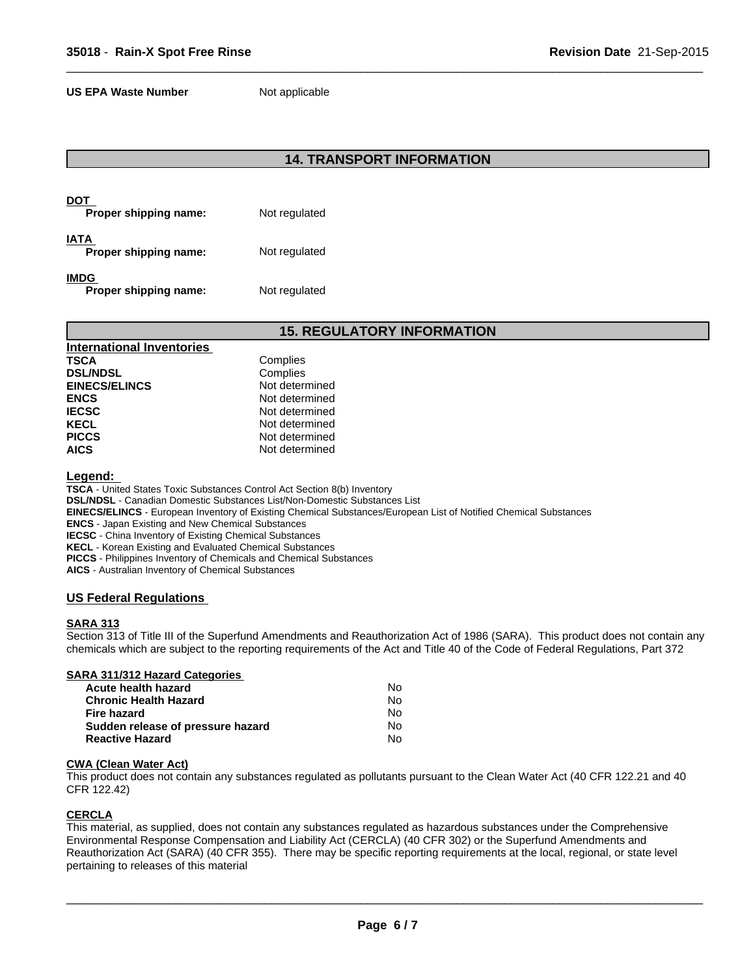**US EPA Waste Number** Not applicable

### **14. TRANSPORT INFORMATION**

 $\overline{\phantom{a}}$  ,  $\overline{\phantom{a}}$  ,  $\overline{\phantom{a}}$  ,  $\overline{\phantom{a}}$  ,  $\overline{\phantom{a}}$  ,  $\overline{\phantom{a}}$  ,  $\overline{\phantom{a}}$  ,  $\overline{\phantom{a}}$  ,  $\overline{\phantom{a}}$  ,  $\overline{\phantom{a}}$  ,  $\overline{\phantom{a}}$  ,  $\overline{\phantom{a}}$  ,  $\overline{\phantom{a}}$  ,  $\overline{\phantom{a}}$  ,  $\overline{\phantom{a}}$  ,  $\overline{\phantom{a}}$ 

| DOT<br>Proper shipping name:  | Not regulated |
|-------------------------------|---------------|
| IATA<br>Proper shipping name: | Not regulated |
| IMDG<br>Proper shipping name: | Not regulated |

### **15. REGULATORY INFORMATION**

| <b>International Inventories</b> |                |
|----------------------------------|----------------|
| <b>TSCA</b>                      | Complies       |
| <b>DSL/NDSL</b>                  | Complies       |
| <b>EINECS/ELINCS</b>             | Not determined |
| <b>ENCS</b>                      | Not determined |
| <b>IECSC</b>                     | Not determined |
| <b>KECL</b>                      | Not determined |
| <b>PICCS</b>                     | Not determined |
| <b>AICS</b>                      | Not determined |

**Legend:** 

**TSCA** - United States Toxic Substances Control Act Section 8(b) Inventory **DSL/NDSL** - Canadian Domestic Substances List/Non-Domestic Substances List **EINECS/ELINCS** - European Inventory of Existing Chemical Substances/European List of Notified Chemical Substances **ENCS** - Japan Existing and New Chemical Substances **IECSC** - China Inventory of Existing Chemical Substances **KECL** - Korean Existing and Evaluated Chemical Substances **PICCS** - Philippines Inventory of Chemicals and Chemical Substances **AICS** - Australian Inventory of Chemical Substances

### **US Federal Regulations**

### **SARA 313**

Section 313 of Title III of the Superfund Amendments and Reauthorization Act of 1986 (SARA). This product does not contain any chemicals which are subject to the reporting requirements of the Act and Title 40 of the Code of Federal Regulations, Part 372

### **SARA 311/312 Hazard Categories**

| Acute health hazard               | N٥ |  |
|-----------------------------------|----|--|
| <b>Chronic Health Hazard</b>      | N٥ |  |
| Fire hazard                       | N٥ |  |
| Sudden release of pressure hazard | N٥ |  |
| <b>Reactive Hazard</b>            | N٥ |  |

#### **CWA (Clean Water Act)**

This product does not contain any substances regulated as pollutants pursuant to the Clean Water Act (40 CFR 122.21 and 40 CFR 122.42)

### **CERCLA**

This material, as supplied, does not contain any substances regulated as hazardous substances under the Comprehensive Environmental Response Compensation and Liability Act (CERCLA) (40 CFR 302) or the Superfund Amendments and Reauthorization Act (SARA) (40 CFR 355). There may be specific reporting requirements at the local, regional, or state level pertaining to releases of this material